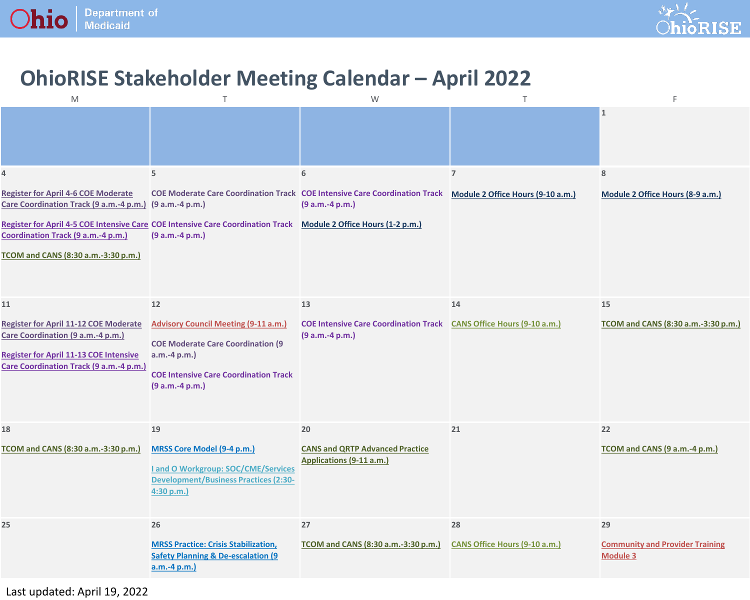



## **OhioRISE Stakeholder Meeting Calendar – April 2022**

| $\mathsf{M}% _{T}=\mathsf{M}_{T}\!\left( a,b\right) ,\ \mathsf{M}_{T}=\mathsf{M}_{T}\!\left( a,b\right) ,$                                                                    | $\top$                                                                                                                                                                     | W                                                                        | $\top$                               | E                                                               |
|-------------------------------------------------------------------------------------------------------------------------------------------------------------------------------|----------------------------------------------------------------------------------------------------------------------------------------------------------------------------|--------------------------------------------------------------------------|--------------------------------------|-----------------------------------------------------------------|
|                                                                                                                                                                               |                                                                                                                                                                            |                                                                          |                                      | $\vert$ 1                                                       |
| 4                                                                                                                                                                             | 5                                                                                                                                                                          | 6                                                                        | $\overline{7}$                       | 8                                                               |
| <b>Register for April 4-6 COE Moderate</b><br>Care Coordination Track (9 a.m.-4 p.m.) (9 a.m.-4 p.m.)                                                                         | <b>COE Moderate Care Coordination Track COE Intensive Care Coordination Track</b>                                                                                          | (9 a.m.-4 p.m.)                                                          | Module 2 Office Hours (9-10 a.m.)    | Module 2 Office Hours (8-9 a.m.)                                |
| Coordination Track (9 a.m.-4 p.m.)<br>TCOM and CANS (8:30 a.m.-3:30 p.m.)                                                                                                     | Register for April 4-5 COE Intensive Care COE Intensive Care Coordination Track<br>(9 a.m.-4 p.m.)                                                                         | Module 2 Office Hours (1-2 p.m.)                                         |                                      |                                                                 |
|                                                                                                                                                                               |                                                                                                                                                                            |                                                                          |                                      |                                                                 |
| 11                                                                                                                                                                            | 12                                                                                                                                                                         | 13                                                                       | 14                                   | 15                                                              |
| <b>Register for April 11-12 COE Moderate</b><br>Care Coordination (9 a.m.-4 p.m.)<br><b>Register for April 11-13 COE Intensive</b><br>Care Coordination Track (9 a.m.-4 p.m.) | <b>Advisory Council Meeting (9-11 a.m.)</b><br><b>COE Moderate Care Coordination (9</b><br>a.m.-4 p.m.)<br><b>COE Intensive Care Coordination Track</b><br>(9 a.m.-4 p.m.) | <b>COE Intensive Care Coordination Track</b><br>(9 a.m.-4 p.m.)          | <b>CANS Office Hours (9-10 a.m.)</b> | TCOM and CANS (8:30 a.m.-3:30 p.m.)                             |
| 18<br>TCOM and CANS (8:30 a.m.-3:30 p.m.)                                                                                                                                     | 19<br><b>MRSS Core Model (9-4 p.m.)</b><br><b>Land O Workgroup: SOC/CME/Services</b><br><b>Development/Business Practices (2:30-</b><br>4:30 p.m.)                         | 20<br><b>CANS and QRTP Advanced Practice</b><br>Applications (9-11 a.m.) | 21                                   | 22<br>TCOM and CANS (9 a.m.-4 p.m.)                             |
| 25                                                                                                                                                                            | 26<br><b>MRSS Practice: Crisis Stabilization,</b><br><b>Safety Planning &amp; De-escalation (9)</b><br>$a.m.-4 p.m.$                                                       | 27<br>TCOM and CANS (8:30 a.m.-3:30 p.m.)                                | 28<br>CANS Office Hours (9-10 a.m.)  | 29<br><b>Community and Provider Training</b><br><b>Module 3</b> |

Last updated: April 19, 2022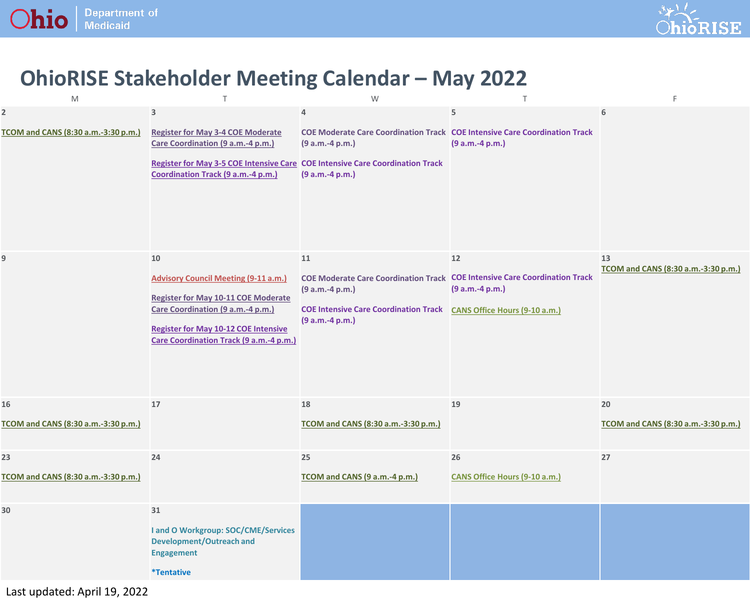



## **OhioRISE Stakeholder Meeting Calendar – May 2022**

| M                                                              | $\top$                                                                                                                                                                                                                         | W                                                                                                                                                                                                           | $\top$                              | F                                         |
|----------------------------------------------------------------|--------------------------------------------------------------------------------------------------------------------------------------------------------------------------------------------------------------------------------|-------------------------------------------------------------------------------------------------------------------------------------------------------------------------------------------------------------|-------------------------------------|-------------------------------------------|
| $\overline{\mathbf{2}}$<br>TCOM and CANS (8:30 a.m.-3:30 p.m.) | $\mathbf{3}$<br><b>Register for May 3-4 COE Moderate</b><br>Care Coordination (9 a.m.-4 p.m.)<br>Register for May 3-5 COE Intensive Care COE Intensive Care Coordination Track<br>Coordination Track (9 a.m.-4 p.m.)           | 4<br><b>COE Moderate Care Coordination Track COE Intensive Care Coordination Track</b><br>$(9 a.m.-4 p.m.)$<br>(9 a.m.-4 p.m.)                                                                              | 5<br>$(9 a.m.-4 p.m.)$              | 6                                         |
| 9                                                              | 10<br><b>Advisory Council Meeting (9-11 a.m.)</b><br><b>Register for May 10-11 COE Moderate</b><br>Care Coordination (9 a.m.-4 p.m.)<br><b>Register for May 10-12 COE Intensive</b><br>Care Coordination Track (9 a.m.-4 p.m.) | 11<br><b>COE Moderate Care Coordination Track COE Intensive Care Coordination Track</b><br>(9 a.m.-4 p.m.)<br><b>COE Intensive Care Coordination Track CANS Office Hours (9-10 a.m.)</b><br>(9 a.m.-4 p.m.) | 12<br>(9 a.m.-4 p.m.)               | 13<br>TCOM and CANS (8:30 a.m.-3:30 p.m.) |
| 16<br>TCOM and CANS (8:30 a.m.-3:30 p.m.)                      | 17                                                                                                                                                                                                                             | 18<br>TCOM and CANS (8:30 a.m.-3:30 p.m.)                                                                                                                                                                   | 19                                  | 20<br>TCOM and CANS (8:30 a.m.-3:30 p.m.) |
| 23<br>TCOM and CANS (8:30 a.m.-3:30 p.m.)                      | 24                                                                                                                                                                                                                             | 25<br>TCOM and CANS (9 a.m.-4 p.m.)                                                                                                                                                                         | 26<br>CANS Office Hours (9-10 a.m.) | 27                                        |
| 30                                                             | 31<br>I and O Workgroup: SOC/CME/Services<br><b>Development/Outreach and</b><br><b>Engagement</b><br><i>*Tentative</i>                                                                                                         |                                                                                                                                                                                                             |                                     |                                           |

Last updated: April 19, 2022